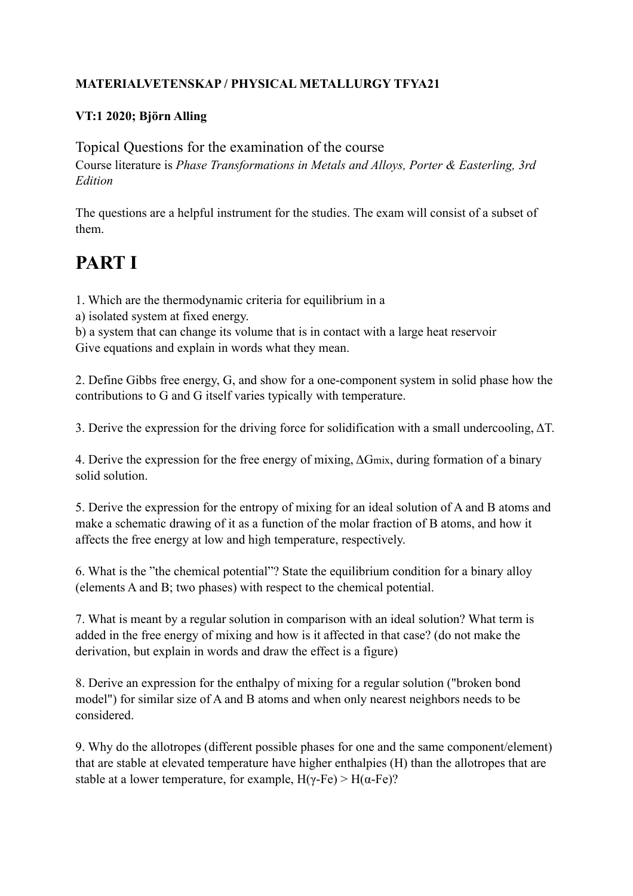## **MATERIALVETENSKAP / PHYSICAL METALLURGY TFYA21**

## **VT:1 2020; Björn Alling**

Topical Questions for the examination of the course Course literature is *Phase Transformations in Metals and Alloys, Porter & Easterling, 3rd Edition*

The questions are a helpful instrument for the studies. The exam will consist of a subset of them.

## **PART I**

1. Which are the thermodynamic criteria for equilibrium in a

a) isolated system at fixed energy.

b) a system that can change its volume that is in contact with a large heat reservoir Give equations and explain in words what they mean.

2. Define Gibbs free energy, G, and show for a one-component system in solid phase how the contributions to G and G itself varies typically with temperature.

3. Derive the expression for the driving force for solidification with a small undercooling, ΔT.

4. Derive the expression for the free energy of mixing, ΔGmix, during formation of a binary solid solution.

5. Derive the expression for the entropy of mixing for an ideal solution of A and B atoms and make a schematic drawing of it as a function of the molar fraction of B atoms, and how it affects the free energy at low and high temperature, respectively.

6. What is the "the chemical potential"? State the equilibrium condition for a binary alloy (elements A and B; two phases) with respect to the chemical potential.

7. What is meant by a regular solution in comparison with an ideal solution? What term is added in the free energy of mixing and how is it affected in that case? (do not make the derivation, but explain in words and draw the effect is a figure)

8. Derive an expression for the enthalpy of mixing for a regular solution ("broken bond model") for similar size of A and B atoms and when only nearest neighbors needs to be considered.

9. Why do the allotropes (different possible phases for one and the same component/element) that are stable at elevated temperature have higher enthalpies (H) than the allotropes that are stable at a lower temperature, for example,  $H(\gamma$ -Fe) >  $H(\alpha$ -Fe)?